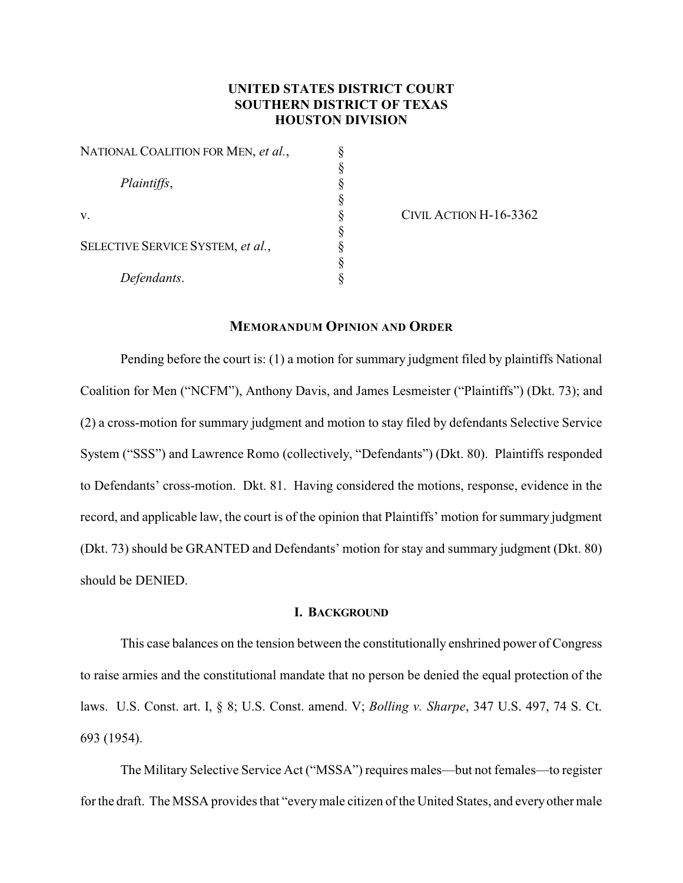# **UNITED STATES DISTRICT COURT SOUTHERN DISTRICT OF TEXAS HOUSTON DIVISION**

§

§

§

§

| NATIONAL COALITION FOR MEN, et al.,                    |  |
|--------------------------------------------------------|--|
| Plaintiffs,<br>V.<br>SELECTIVE SERVICE SYSTEM, et al., |  |
|                                                        |  |
|                                                        |  |
|                                                        |  |
|                                                        |  |
|                                                        |  |
|                                                        |  |
| Defendants.                                            |  |

CIVIL ACTION H-16-3362

## **MEMORANDUM OPINION AND ORDER**

Pending before the court is: (1) a motion for summary judgment filed by plaintiffs National Coalition for Men ("NCFM"), Anthony Davis, and James Lesmeister ("Plaintiffs") (Dkt. 73); and (2) a cross-motion for summary judgment and motion to stay filed by defendants Selective Service System ("SSS") and Lawrence Romo (collectively, "Defendants") (Dkt. 80). Plaintiffs responded to Defendants' cross-motion. Dkt. 81. Having considered the motions, response, evidence in the record, and applicable law, the court is of the opinion that Plaintiffs' motion for summary judgment (Dkt. 73) should be GRANTED and Defendants' motion for stay and summary judgment (Dkt. 80) should be DENIED.

#### **I. BACKGROUND**

This case balances on the tension between the constitutionally enshrined power of Congress to raise armies and the constitutional mandate that no person be denied the equal protection of the laws. U.S. Const. art. I, § 8; U.S. Const. amend. V; *Bolling v. Sharpe*, 347 U.S. 497, 74 S. Ct. 693 (1954).

The Military Selective Service Act ("MSSA") requires males—but not females—to register for the draft. The MSSA provides that "everymale citizen of the United States, and everyother male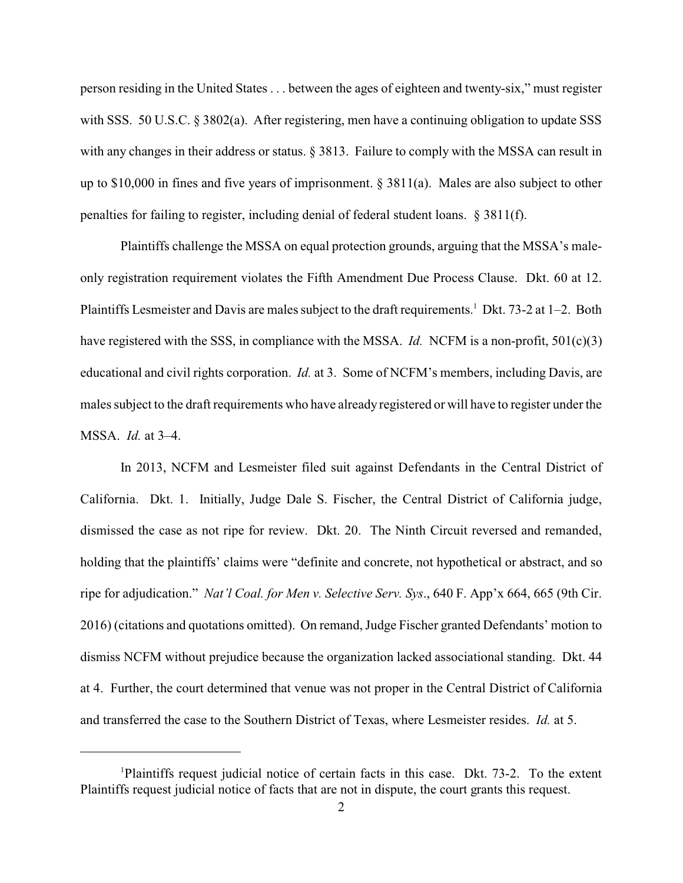person residing in the United States . . . between the ages of eighteen and twenty-six," must register with SSS. 50 U.S.C. § 3802(a). After registering, men have a continuing obligation to update SSS with any changes in their address or status. § 3813. Failure to comply with the MSSA can result in up to \$10,000 in fines and five years of imprisonment. § 3811(a). Males are also subject to other penalties for failing to register, including denial of federal student loans. § 3811(f).

Plaintiffs challenge the MSSA on equal protection grounds, arguing that the MSSA's maleonly registration requirement violates the Fifth Amendment Due Process Clause. Dkt. 60 at 12. Plaintiffs Lesmeister and Davis are males subject to the draft requirements.<sup>1</sup> Dkt. 73-2 at 1–2. Both have registered with the SSS, in compliance with the MSSA. *Id.* NCFM is a non-profit, 501(c)(3) educational and civil rights corporation. *Id.* at 3. Some of NCFM's members, including Davis, are males subject to the draft requirements who have already registered or will have to register under the MSSA. *Id.* at 3–4.

In 2013, NCFM and Lesmeister filed suit against Defendants in the Central District of California. Dkt. 1. Initially, Judge Dale S. Fischer, the Central District of California judge, dismissed the case as not ripe for review. Dkt. 20. The Ninth Circuit reversed and remanded, holding that the plaintiffs' claims were "definite and concrete, not hypothetical or abstract, and so ripe for adjudication." *Nat'l Coal. for Men v. Selective Serv. Sys*., 640 F. App'x 664, 665 (9th Cir. 2016) (citations and quotations omitted). On remand, Judge Fischer granted Defendants' motion to dismiss NCFM without prejudice because the organization lacked associational standing. Dkt. 44 at 4. Further, the court determined that venue was not proper in the Central District of California and transferred the case to the Southern District of Texas, where Lesmeister resides. *Id.* at 5.

<sup>1</sup>Plaintiffs request judicial notice of certain facts in this case. Dkt. 73-2. To the extent Plaintiffs request judicial notice of facts that are not in dispute, the court grants this request.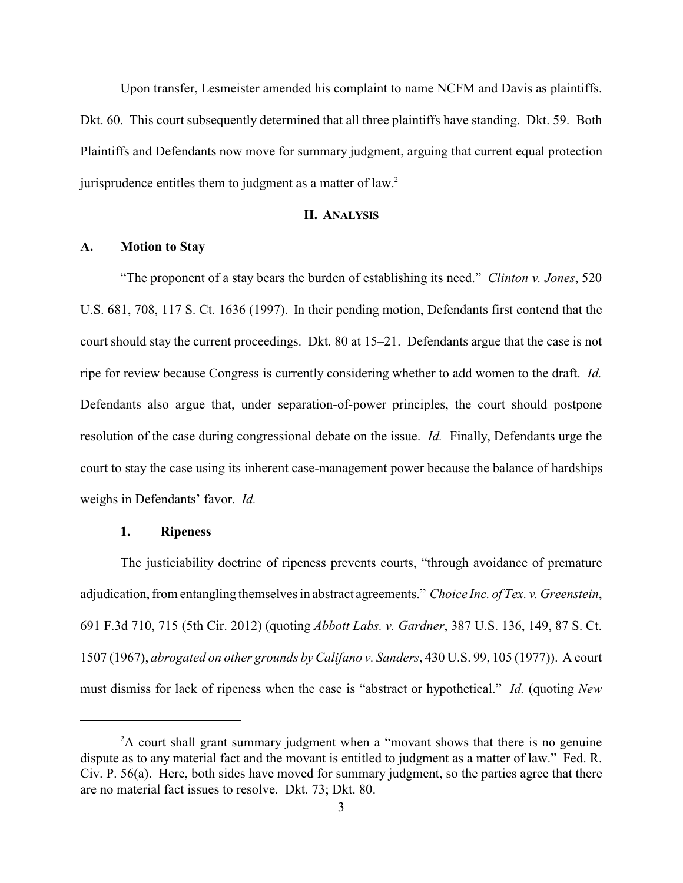Upon transfer, Lesmeister amended his complaint to name NCFM and Davis as plaintiffs. Dkt. 60. This court subsequently determined that all three plaintiffs have standing. Dkt. 59. Both Plaintiffs and Defendants now move for summary judgment, arguing that current equal protection jurisprudence entitles them to judgment as a matter of law.<sup>2</sup>

### **II. ANALYSIS**

#### **A. Motion to Stay**

"The proponent of a stay bears the burden of establishing its need." *Clinton v. Jones*, 520 U.S. 681, 708, 117 S. Ct. 1636 (1997).In their pending motion, Defendants first contend that the court should stay the current proceedings. Dkt. 80 at 15–21. Defendants argue that the case is not ripe for review because Congress is currently considering whether to add women to the draft. *Id.* Defendants also argue that, under separation-of-power principles, the court should postpone resolution of the case during congressional debate on the issue. *Id.* Finally, Defendants urge the court to stay the case using its inherent case-management power because the balance of hardships weighs in Defendants' favor. *Id.*

#### **1. Ripeness**

The justiciability doctrine of ripeness prevents courts, "through avoidance of premature adjudication, from entangling themselves in abstract agreements." *Choice Inc. of Tex. v. Greenstein*, 691 F.3d 710, 715 (5th Cir. 2012) (quoting *Abbott Labs. v. Gardner*, 387 U.S. 136, 149, 87 S. Ct. 1507 (1967), *abrogated on other grounds by Califano v. Sanders*, 430 U.S. 99, 105 (1977)). A court must dismiss for lack of ripeness when the case is "abstract or hypothetical." *Id.* (quoting *New*

<sup>&</sup>lt;sup>2</sup>A court shall grant summary judgment when a "movant shows that there is no genuine dispute as to any material fact and the movant is entitled to judgment as a matter of law." Fed. R. Civ. P. 56(a). Here, both sides have moved for summary judgment, so the parties agree that there are no material fact issues to resolve. Dkt. 73; Dkt. 80.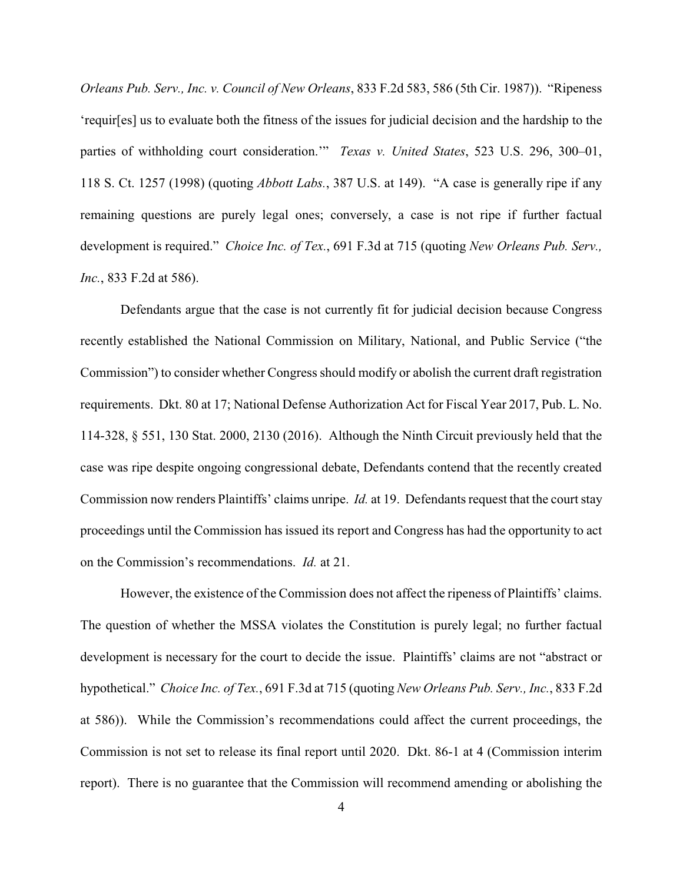*Orleans Pub. Serv., Inc. v. Council of New Orleans*, 833 F.2d 583, 586 (5th Cir. 1987)). "Ripeness 'requir[es] us to evaluate both the fitness of the issues for judicial decision and the hardship to the parties of withholding court consideration.'" *Texas v. United States*, 523 U.S. 296, 300–01, 118 S. Ct. 1257 (1998) (quoting *Abbott Labs.*, 387 U.S. at 149). "A case is generally ripe if any remaining questions are purely legal ones; conversely, a case is not ripe if further factual development is required." *Choice Inc. of Tex.*, 691 F.3d at 715 (quoting *New Orleans Pub. Serv., Inc.*, 833 F.2d at 586).

Defendants argue that the case is not currently fit for judicial decision because Congress recently established the National Commission on Military, National, and Public Service ("the Commission") to consider whether Congress should modify or abolish the current draft registration requirements. Dkt. 80 at 17; National Defense Authorization Act for Fiscal Year 2017, Pub. L. No. 114-328, § 551, 130 Stat. 2000, 2130 (2016). Although the Ninth Circuit previously held that the case was ripe despite ongoing congressional debate, Defendants contend that the recently created Commission now renders Plaintiffs' claims unripe. *Id.* at 19. Defendants request that the court stay proceedings until the Commission has issued its report and Congress has had the opportunity to act on the Commission's recommendations. *Id.* at 21.

However, the existence of the Commission does not affect the ripeness of Plaintiffs' claims. The question of whether the MSSA violates the Constitution is purely legal; no further factual development is necessary for the court to decide the issue. Plaintiffs' claims are not "abstract or hypothetical." *Choice Inc. of Tex.*, 691 F.3d at 715 (quoting *New Orleans Pub. Serv., Inc.*, 833 F.2d at 586)). While the Commission's recommendations could affect the current proceedings, the Commission is not set to release its final report until 2020. Dkt. 86-1 at 4 (Commission interim report). There is no guarantee that the Commission will recommend amending or abolishing the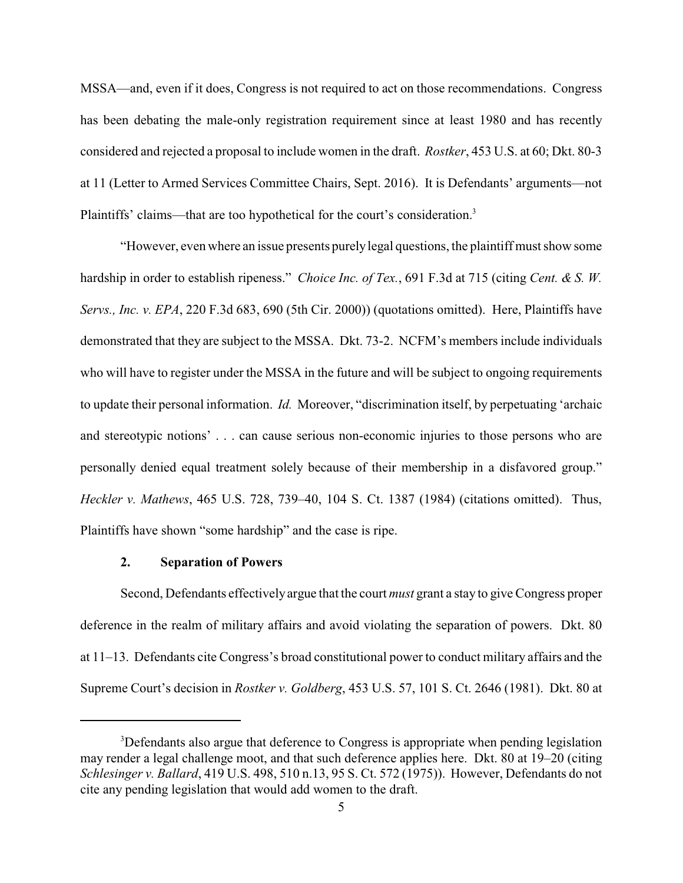MSSA—and, even if it does, Congress is not required to act on those recommendations. Congress has been debating the male-only registration requirement since at least 1980 and has recently considered and rejected a proposal to include women in the draft. *Rostker*, 453 U.S. at 60; Dkt. 80-3 at 11 (Letter to Armed Services Committee Chairs, Sept. 2016). It is Defendants' arguments—not Plaintiffs' claims—that are too hypothetical for the court's consideration.<sup>3</sup>

"However, even where an issue presents purelylegal questions, the plaintiff must show some hardship in order to establish ripeness." *Choice Inc. of Tex.*, 691 F.3d at 715 (citing *Cent. & S. W. Servs., Inc. v. EPA*, 220 F.3d 683, 690 (5th Cir. 2000)) (quotations omitted). Here, Plaintiffs have demonstrated that they are subject to the MSSA. Dkt. 73-2. NCFM's members include individuals who will have to register under the MSSA in the future and will be subject to ongoing requirements to update their personal information. *Id.* Moreover, "discrimination itself, by perpetuating 'archaic and stereotypic notions' . . . can cause serious non-economic injuries to those persons who are personally denied equal treatment solely because of their membership in a disfavored group." *Heckler v. Mathews*, 465 U.S. 728, 739–40, 104 S. Ct. 1387 (1984) (citations omitted). Thus, Plaintiffs have shown "some hardship" and the case is ripe.

#### **2. Separation of Powers**

Second, Defendants effectivelyargue that the court *must* grant a stay to give Congress proper deference in the realm of military affairs and avoid violating the separation of powers. Dkt. 80 at 11–13. Defendants cite Congress's broad constitutional power to conduct military affairs and the Supreme Court's decision in *Rostker v. Goldberg*, 453 U.S. 57, 101 S. Ct. 2646 (1981). Dkt. 80 at

<sup>&</sup>lt;sup>3</sup>Defendants also argue that deference to Congress is appropriate when pending legislation may render a legal challenge moot, and that such deference applies here. Dkt. 80 at 19–20 (citing *Schlesinger v. Ballard*, 419 U.S. 498, 510 n.13, 95 S. Ct. 572 (1975)). However, Defendants do not cite any pending legislation that would add women to the draft.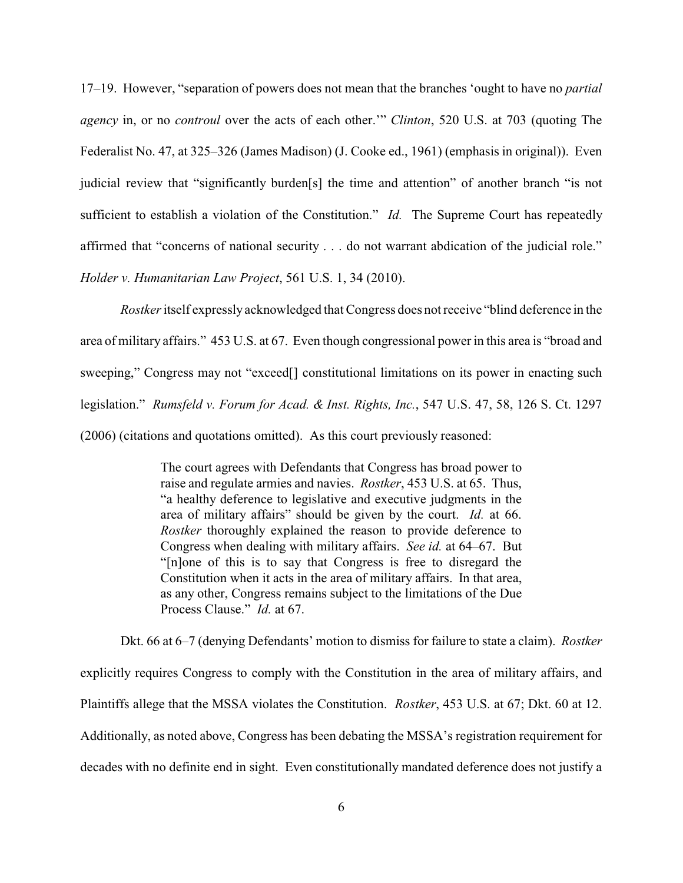17–19. However, "separation of powers does not mean that the branches 'ought to have no *partial agency* in, or no *controul* over the acts of each other.'" *Clinton*, 520 U.S. at 703 (quoting The Federalist No. 47, at 325–326 (James Madison) (J. Cooke ed., 1961) (emphasis in original)). Even judicial review that "significantly burden[s] the time and attention" of another branch "is not sufficient to establish a violation of the Constitution." *Id.* The Supreme Court has repeatedly affirmed that "concerns of national security . . . do not warrant abdication of the judicial role." *Holder v. Humanitarian Law Project*, 561 U.S. 1, 34 (2010).

*Rostker* itself expressly acknowledged that Congress does not receive "blind deference in the area of military affairs." 453 U.S. at 67. Even though congressional power in this area is "broad and sweeping," Congress may not "exceed<sup>[]</sup> constitutional limitations on its power in enacting such legislation." *Rumsfeld v. Forum for Acad. & Inst. Rights, Inc.*, 547 U.S. 47, 58, 126 S. Ct. 1297 (2006) (citations and quotations omitted). As this court previously reasoned:

> The court agrees with Defendants that Congress has broad power to raise and regulate armies and navies. *Rostker*, 453 U.S. at 65. Thus, "a healthy deference to legislative and executive judgments in the area of military affairs" should be given by the court. *Id.* at 66. *Rostker* thoroughly explained the reason to provide deference to Congress when dealing with military affairs. *See id.* at 64–67. But "[n]one of this is to say that Congress is free to disregard the Constitution when it acts in the area of military affairs. In that area, as any other, Congress remains subject to the limitations of the Due Process Clause." *Id.* at 67.

Dkt. 66 at 6–7 (denying Defendants' motion to dismiss for failure to state a claim). *Rostker* explicitly requires Congress to comply with the Constitution in the area of military affairs, and Plaintiffs allege that the MSSA violates the Constitution. *Rostker*, 453 U.S. at 67; Dkt. 60 at 12. Additionally, as noted above, Congress has been debating the MSSA's registration requirement for decades with no definite end in sight. Even constitutionally mandated deference does not justify a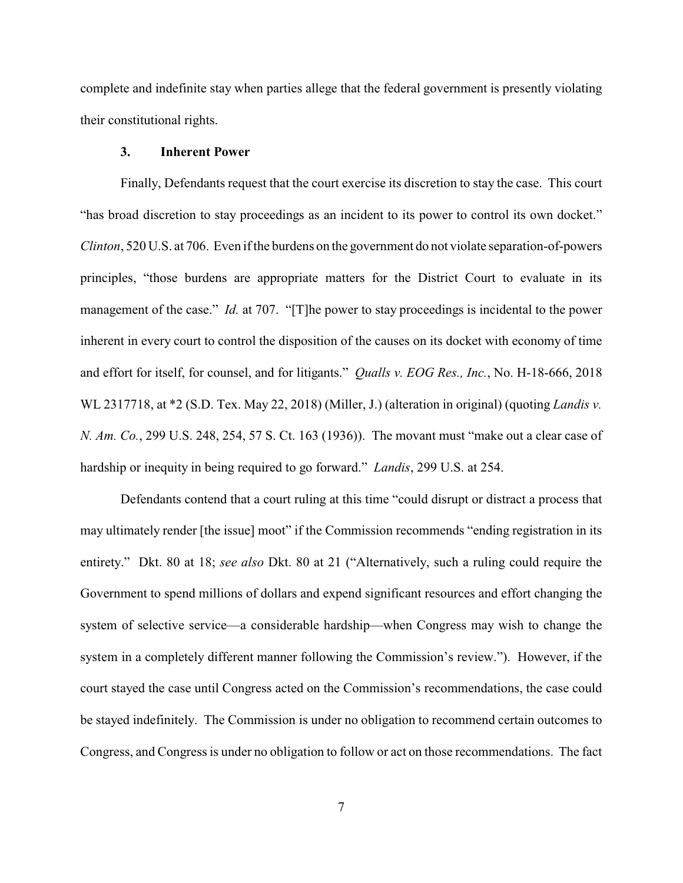complete and indefinite stay when parties allege that the federal government is presently violating their constitutional rights.

#### **3. Inherent Power**

Finally, Defendants request that the court exercise its discretion to stay the case. This court "has broad discretion to stay proceedings as an incident to its power to control its own docket." *Clinton*, 520 U.S. at 706. Even if the burdens on the government do not violate separation-of-powers principles, "those burdens are appropriate matters for the District Court to evaluate in its management of the case." *Id.* at 707. "[T]he power to stay proceedings is incidental to the power inherent in every court to control the disposition of the causes on its docket with economy of time and effort for itself, for counsel, and for litigants." *Qualls v. EOG Res., Inc.*, No. H-18-666, 2018 WL 2317718, at \*2 (S.D. Tex. May 22, 2018) (Miller, J.) (alteration in original) (quoting *Landis v. N. Am. Co.*, 299 U.S. 248, 254, 57 S. Ct. 163 (1936)). The movant must "make out a clear case of hardship or inequity in being required to go forward." *Landis*, 299 U.S. at 254.

Defendants contend that a court ruling at this time "could disrupt or distract a process that may ultimately render [the issue] moot" if the Commission recommends "ending registration in its entirety." Dkt. 80 at 18; *see also* Dkt. 80 at 21 ("Alternatively, such a ruling could require the Government to spend millions of dollars and expend significant resources and effort changing the system of selective service—a considerable hardship—when Congress may wish to change the system in a completely different manner following the Commission's review."). However, if the court stayed the case until Congress acted on the Commission's recommendations, the case could be stayed indefinitely. The Commission is under no obligation to recommend certain outcomes to Congress, and Congress is under no obligation to follow or act on those recommendations. The fact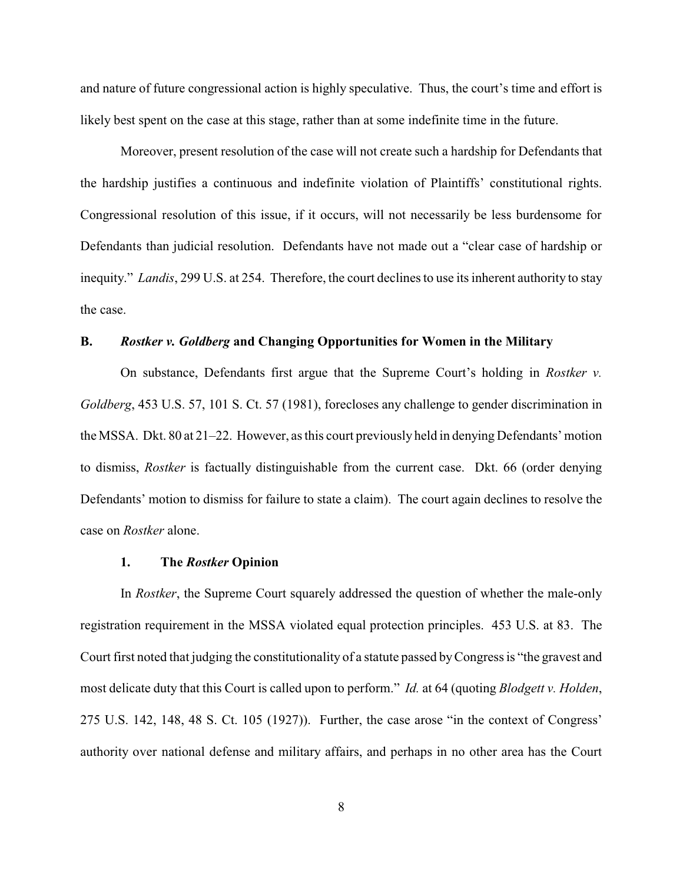and nature of future congressional action is highly speculative. Thus, the court's time and effort is likely best spent on the case at this stage, rather than at some indefinite time in the future.

Moreover, present resolution of the case will not create such a hardship for Defendants that the hardship justifies a continuous and indefinite violation of Plaintiffs' constitutional rights. Congressional resolution of this issue, if it occurs, will not necessarily be less burdensome for Defendants than judicial resolution. Defendants have not made out a "clear case of hardship or inequity." *Landis*, 299 U.S. at 254. Therefore, the court declines to use its inherent authority to stay the case.

## **B.** *Rostker v. Goldberg* **and Changing Opportunities for Women in the Military**

On substance, Defendants first argue that the Supreme Court's holding in *Rostker v. Goldberg*, 453 U.S. 57, 101 S. Ct. 57 (1981), forecloses any challenge to gender discrimination in the MSSA. Dkt. 80 at 21–22. However, as this court previously held in denying Defendants' motion to dismiss, *Rostker* is factually distinguishable from the current case. Dkt. 66 (order denying Defendants' motion to dismiss for failure to state a claim). The court again declines to resolve the case on *Rostker* alone.

#### **1. The** *Rostker* **Opinion**

In *Rostker*, the Supreme Court squarely addressed the question of whether the male-only registration requirement in the MSSA violated equal protection principles. 453 U.S. at 83. The Court first noted that judging the constitutionality of a statute passed byCongress is "the gravest and most delicate duty that this Court is called upon to perform." *Id.* at 64 (quoting *Blodgett v. Holden*, 275 U.S. 142, 148, 48 S. Ct. 105 (1927)). Further, the case arose "in the context of Congress' authority over national defense and military affairs, and perhaps in no other area has the Court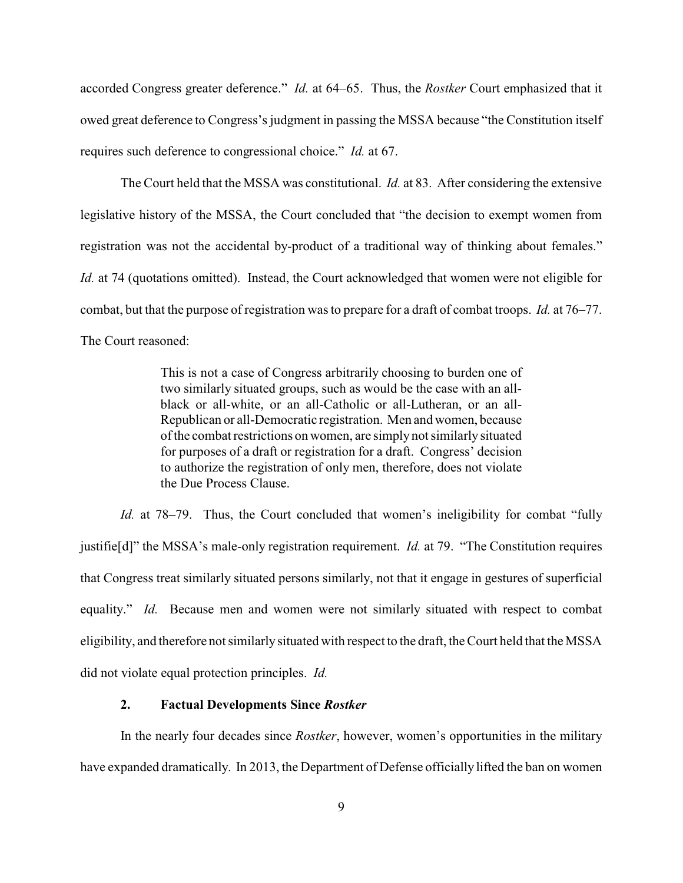accorded Congress greater deference." *Id.* at 64–65. Thus, the *Rostker* Court emphasized that it owed great deference to Congress's judgment in passing the MSSA because "the Constitution itself requires such deference to congressional choice." *Id.* at 67.

The Court held that the MSSA was constitutional. *Id.* at 83. After considering the extensive legislative history of the MSSA, the Court concluded that "the decision to exempt women from registration was not the accidental by-product of a traditional way of thinking about females." *Id.* at 74 (quotations omitted). Instead, the Court acknowledged that women were not eligible for combat, but that the purpose of registration was to prepare for a draft of combat troops. *Id.* at 76–77. The Court reasoned:

> This is not a case of Congress arbitrarily choosing to burden one of two similarly situated groups, such as would be the case with an allblack or all-white, or an all-Catholic or all-Lutheran, or an all-Republican or all-Democratic registration. Men and women, because of the combat restrictions on women, are simply not similarly situated for purposes of a draft or registration for a draft. Congress' decision to authorize the registration of only men, therefore, does not violate the Due Process Clause.

*Id.* at 78–79. Thus, the Court concluded that women's ineligibility for combat "fully justifie[d]" the MSSA's male-only registration requirement. *Id.* at 79. "The Constitution requires that Congress treat similarly situated persons similarly, not that it engage in gestures of superficial equality." *Id.* Because men and women were not similarly situated with respect to combat eligibility, and therefore not similarly situated with respect to the draft, the Court held that the MSSA did not violate equal protection principles. *Id.*

## **2. Factual Developments Since** *Rostker*

In the nearly four decades since *Rostker*, however, women's opportunities in the military have expanded dramatically. In 2013, the Department of Defense officially lifted the ban on women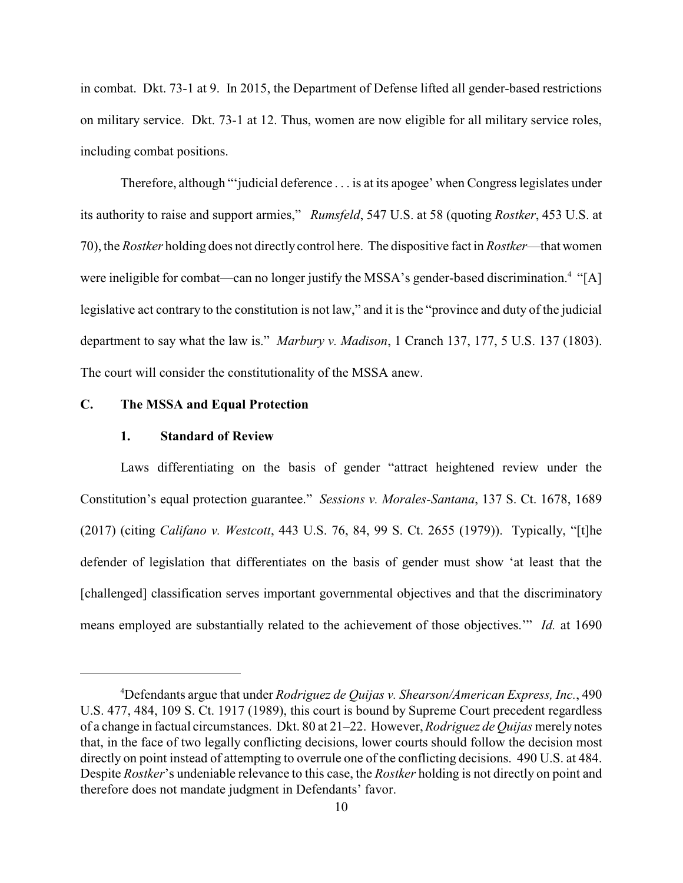in combat. Dkt. 73-1 at 9. In 2015, the Department of Defense lifted all gender-based restrictions on military service. Dkt. 73-1 at 12. Thus, women are now eligible for all military service roles, including combat positions.

Therefore, although "'judicial deference . . . is at its apogee' when Congress legislates under its authority to raise and support armies," *Rumsfeld*, 547 U.S. at 58 (quoting *Rostker*, 453 U.S. at 70), the *Rostker* holding does not directly control here. The dispositive fact in *Rostker*—that women were ineligible for combat—can no longer justify the MSSA's gender-based discrimination.<sup>4</sup> "[A] legislative act contrary to the constitution is not law," and it is the "province and duty of the judicial department to say what the law is." *Marbury v. Madison*, 1 Cranch 137, 177, 5 U.S. 137 (1803). The court will consider the constitutionality of the MSSA anew.

# **C. The MSSA and Equal Protection**

### **1. Standard of Review**

Laws differentiating on the basis of gender "attract heightened review under the Constitution's equal protection guarantee." *Sessions v. Morales-Santana*, 137 S. Ct. 1678, 1689 (2017) (citing *Califano v. Westcott*, 443 U.S. 76, 84, 99 S. Ct. 2655 (1979)). Typically, "[t]he defender of legislation that differentiates on the basis of gender must show 'at least that the [challenged] classification serves important governmental objectives and that the discriminatory means employed are substantially related to the achievement of those objectives.'" *Id.* at 1690

<sup>4</sup>Defendants argue that under *Rodriguez de Quijas v. Shearson/American Express, Inc.*, 490 U.S. 477, 484, 109 S. Ct. 1917 (1989), this court is bound by Supreme Court precedent regardless of a change in factual circumstances. Dkt. 80 at 21–22. However, *Rodriguez de Quijas* merely notes that, in the face of two legally conflicting decisions, lower courts should follow the decision most directly on point instead of attempting to overrule one of the conflicting decisions. 490 U.S. at 484. Despite *Rostker*'s undeniable relevance to this case, the *Rostker* holding is not directly on point and therefore does not mandate judgment in Defendants' favor.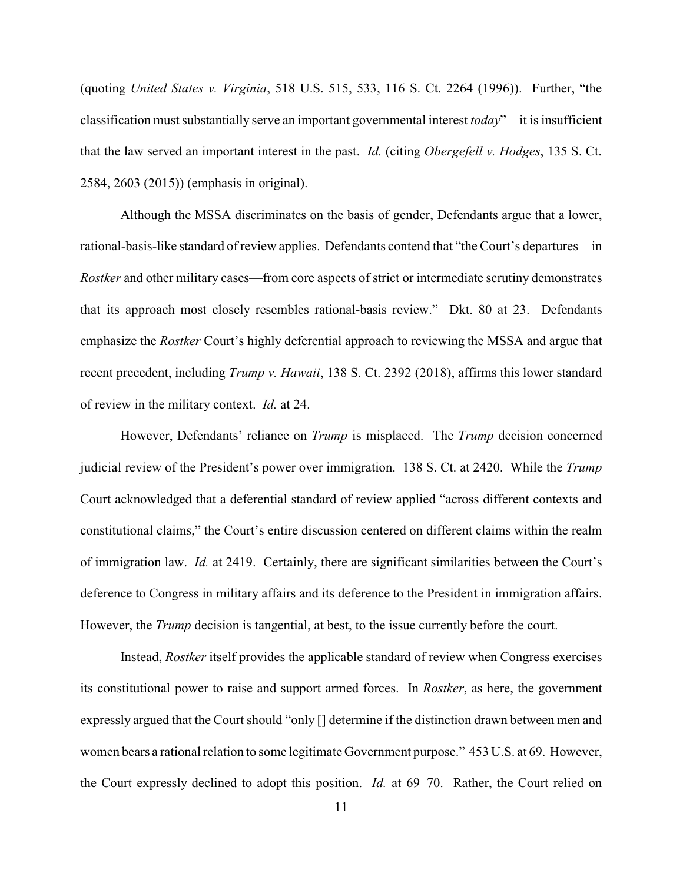(quoting *United States v. Virginia*, 518 U.S. 515, 533, 116 S. Ct. 2264 (1996)). Further, "the classification must substantially serve an important governmental interest *today*"—it is insufficient that the law served an important interest in the past. *Id.* (citing *Obergefell v. Hodges*, 135 S. Ct. 2584, 2603 (2015)) (emphasis in original).

Although the MSSA discriminates on the basis of gender, Defendants argue that a lower, rational-basis-like standard of review applies. Defendants contend that "the Court's departures—in *Rostker* and other military cases—from core aspects of strict or intermediate scrutiny demonstrates that its approach most closely resembles rational-basis review." Dkt. 80 at 23. Defendants emphasize the *Rostker* Court's highly deferential approach to reviewing the MSSA and argue that recent precedent, including *Trump v. Hawaii*, 138 S. Ct. 2392 (2018), affirms this lower standard of review in the military context. *Id.* at 24.

However, Defendants' reliance on *Trump* is misplaced. The *Trump* decision concerned judicial review of the President's power over immigration. 138 S. Ct. at 2420. While the *Trump* Court acknowledged that a deferential standard of review applied "across different contexts and constitutional claims," the Court's entire discussion centered on different claims within the realm of immigration law. *Id.* at 2419. Certainly, there are significant similarities between the Court's deference to Congress in military affairs and its deference to the President in immigration affairs. However, the *Trump* decision is tangential, at best, to the issue currently before the court.

Instead, *Rostker* itself provides the applicable standard of review when Congress exercises its constitutional power to raise and support armed forces. In *Rostker*, as here, the government expressly argued that the Court should "only [] determine if the distinction drawn between men and women bears a rational relation to some legitimate Government purpose." 453 U.S. at 69. However, the Court expressly declined to adopt this position. *Id.* at 69–70. Rather, the Court relied on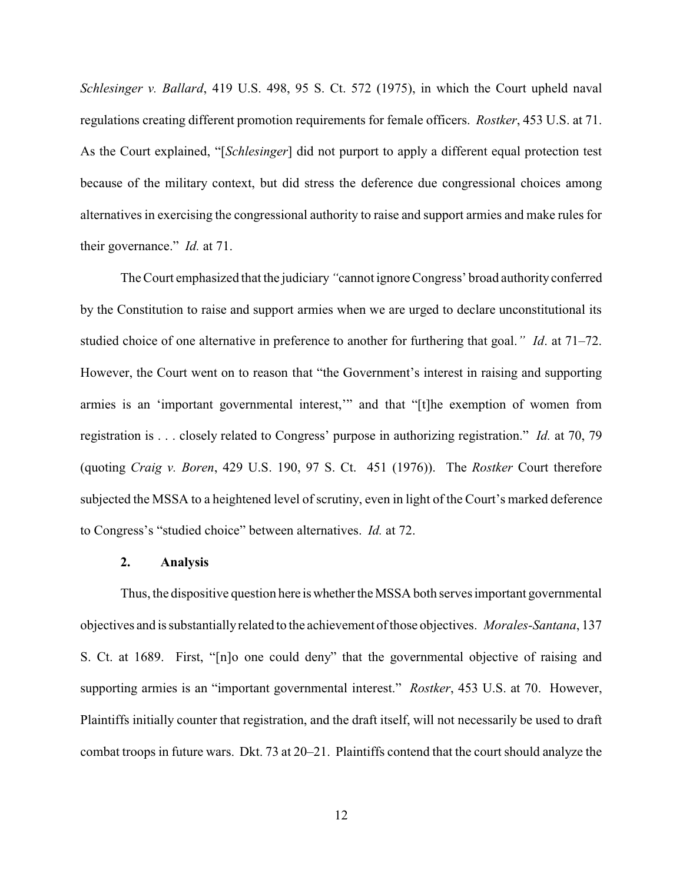*Schlesinger v. Ballard*, 419 U.S. 498, 95 S. Ct. 572 (1975), in which the Court upheld naval regulations creating different promotion requirements for female officers. *Rostker*, 453 U.S. at 71. As the Court explained, "[*Schlesinger*] did not purport to apply a different equal protection test because of the military context, but did stress the deference due congressional choices among alternatives in exercising the congressional authority to raise and support armies and make rules for their governance." *Id.* at 71.

The Court emphasized that the judiciary*"*cannot ignore Congress' broad authority conferred by the Constitution to raise and support armies when we are urged to declare unconstitutional its studied choice of one alternative in preference to another for furthering that goal.*" Id*. at 71–72. However, the Court went on to reason that "the Government's interest in raising and supporting armies is an 'important governmental interest,'" and that "[t]he exemption of women from registration is . . . closely related to Congress' purpose in authorizing registration." *Id.* at 70, 79 (quoting *Craig v. Boren*, 429 U.S. 190, 97 S. Ct. 451 (1976)). The *Rostker* Court therefore subjected the MSSA to a heightened level of scrutiny, even in light of the Court's marked deference to Congress's "studied choice" between alternatives. *Id.* at 72.

#### **2. Analysis**

Thus, the dispositive question here is whether the MSSA both serves important governmental objectives and is substantiallyrelated to the achievement of those objectives. *Morales-Santana*, 137 S. Ct. at 1689. First, "[n]o one could deny" that the governmental objective of raising and supporting armies is an "important governmental interest." *Rostker*, 453 U.S. at 70. However, Plaintiffs initially counter that registration, and the draft itself, will not necessarily be used to draft combat troops in future wars. Dkt. 73 at 20–21. Plaintiffs contend that the court should analyze the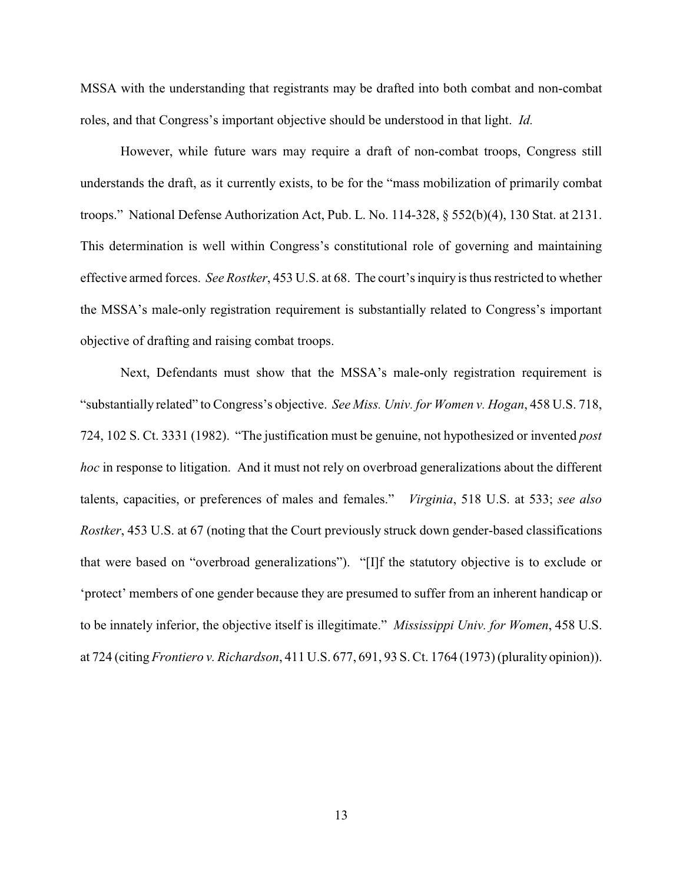MSSA with the understanding that registrants may be drafted into both combat and non-combat roles, and that Congress's important objective should be understood in that light. *Id.* 

However, while future wars may require a draft of non-combat troops, Congress still understands the draft, as it currently exists, to be for the "mass mobilization of primarily combat troops." National Defense Authorization Act, Pub. L. No. 114-328, § 552(b)(4), 130 Stat. at 2131. This determination is well within Congress's constitutional role of governing and maintaining effective armed forces. *See Rostker*, 453 U.S. at 68. The court's inquiry is thus restricted to whether the MSSA's male-only registration requirement is substantially related to Congress's important objective of drafting and raising combat troops.

Next, Defendants must show that the MSSA's male-only registration requirement is "substantially related" to Congress's objective. *See Miss. Univ. for Women v. Hogan*, 458 U.S. 718, 724, 102 S. Ct. 3331 (1982). "The justification must be genuine, not hypothesized or invented *post hoc* in response to litigation. And it must not rely on overbroad generalizations about the different talents, capacities, or preferences of males and females." *Virginia*, 518 U.S. at 533; *see also Rostker*, 453 U.S. at 67 (noting that the Court previously struck down gender-based classifications that were based on "overbroad generalizations"). "[I]f the statutory objective is to exclude or 'protect' members of one gender because they are presumed to suffer from an inherent handicap or to be innately inferior, the objective itself is illegitimate." *Mississippi Univ. for Women*, 458 U.S. at 724 (citing *Frontiero v. Richardson*, 411 U.S. 677, 691, 93 S. Ct. 1764 (1973) (plurality opinion)).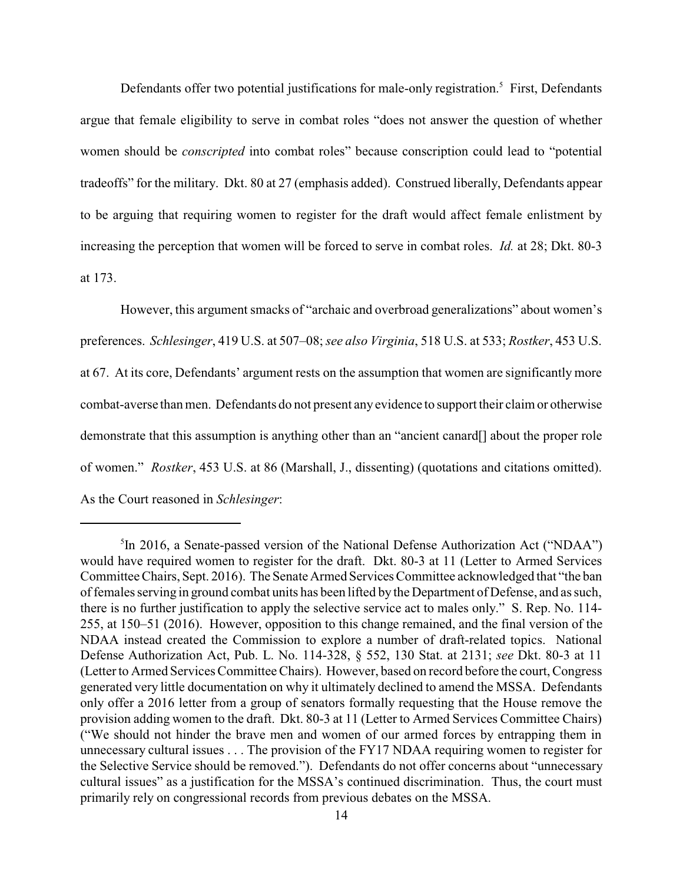Defendants offer two potential justifications for male-only registration.<sup>5</sup> First, Defendants argue that female eligibility to serve in combat roles "does not answer the question of whether women should be *conscripted* into combat roles" because conscription could lead to "potential tradeoffs" for the military. Dkt. 80 at 27 (emphasis added). Construed liberally, Defendants appear to be arguing that requiring women to register for the draft would affect female enlistment by increasing the perception that women will be forced to serve in combat roles. *Id.* at 28; Dkt. 80-3 at 173.

However, this argument smacks of "archaic and overbroad generalizations" about women's preferences. *Schlesinger*, 419 U.S. at 507–08; *see also Virginia*, 518 U.S. at 533; *Rostker*, 453 U.S. at 67. At its core, Defendants' argument rests on the assumption that women are significantly more combat-averse than men. Defendants do not present any evidence to support their claim or otherwise demonstrate that this assumption is anything other than an "ancient canard[] about the proper role of women." *Rostker*, 453 U.S. at 86 (Marshall, J., dissenting) (quotations and citations omitted). As the Court reasoned in *Schlesinger*:

<sup>&</sup>lt;sup>5</sup>In 2016, a Senate-passed version of the National Defense Authorization Act ("NDAA") would have required women to register for the draft. Dkt. 80-3 at 11 (Letter to Armed Services Committee Chairs, Sept. 2016). The Senate Armed Services Committee acknowledged that "the ban of females serving in ground combat units has been lifted by the Department of Defense, and as such, there is no further justification to apply the selective service act to males only." S. Rep. No. 114- 255, at 150–51 (2016). However, opposition to this change remained, and the final version of the NDAA instead created the Commission to explore a number of draft-related topics. National Defense Authorization Act, Pub. L. No. 114-328, § 552, 130 Stat. at 2131; *see* Dkt. 80-3 at 11 (Letter to Armed Services Committee Chairs). However, based on record before the court, Congress generated very little documentation on why it ultimately declined to amend the MSSA. Defendants only offer a 2016 letter from a group of senators formally requesting that the House remove the provision adding women to the draft. Dkt. 80-3 at 11 (Letter to Armed Services Committee Chairs) ("We should not hinder the brave men and women of our armed forces by entrapping them in unnecessary cultural issues . . . The provision of the FY17 NDAA requiring women to register for the Selective Service should be removed."). Defendants do not offer concerns about "unnecessary cultural issues" as a justification for the MSSA's continued discrimination. Thus, the court must primarily rely on congressional records from previous debates on the MSSA.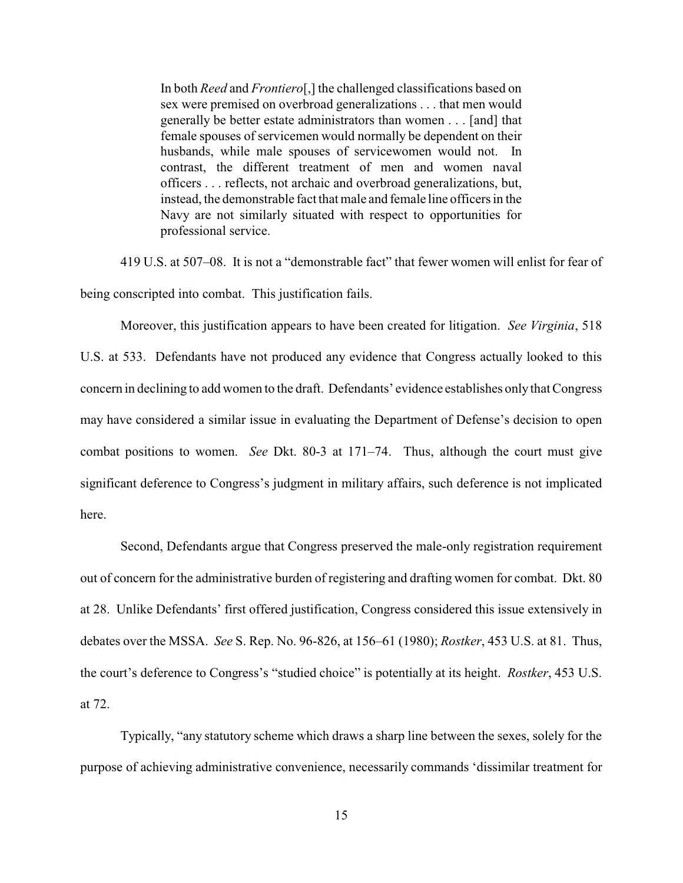In both *Reed* and *Frontiero*[,] the challenged classifications based on sex were premised on overbroad generalizations . . . that men would generally be better estate administrators than women . . . [and] that female spouses of servicemen would normally be dependent on their husbands, while male spouses of servicewomen would not. In contrast, the different treatment of men and women naval officers . . . reflects, not archaic and overbroad generalizations, but, instead, the demonstrable fact that male and female line officers in the Navy are not similarly situated with respect to opportunities for professional service.

419 U.S. at 507–08. It is not a "demonstrable fact" that fewer women will enlist for fear of being conscripted into combat. This justification fails.

Moreover, this justification appears to have been created for litigation. *See Virginia*, 518 U.S. at 533. Defendants have not produced any evidence that Congress actually looked to this concern in declining to add women to the draft. Defendants' evidence establishes onlythat Congress may have considered a similar issue in evaluating the Department of Defense's decision to open combat positions to women. *See* Dkt. 80-3 at 171–74. Thus, although the court must give significant deference to Congress's judgment in military affairs, such deference is not implicated here.

Second, Defendants argue that Congress preserved the male-only registration requirement out of concern for the administrative burden of registering and drafting women for combat. Dkt. 80 at 28. Unlike Defendants' first offered justification, Congress considered this issue extensively in debates over the MSSA. *See* S. Rep. No. 96-826, at 156–61 (1980); *Rostker*, 453 U.S. at 81. Thus, the court's deference to Congress's "studied choice" is potentially at its height. *Rostker*, 453 U.S. at 72.

Typically, "any statutory scheme which draws a sharp line between the sexes, solely for the purpose of achieving administrative convenience, necessarily commands 'dissimilar treatment for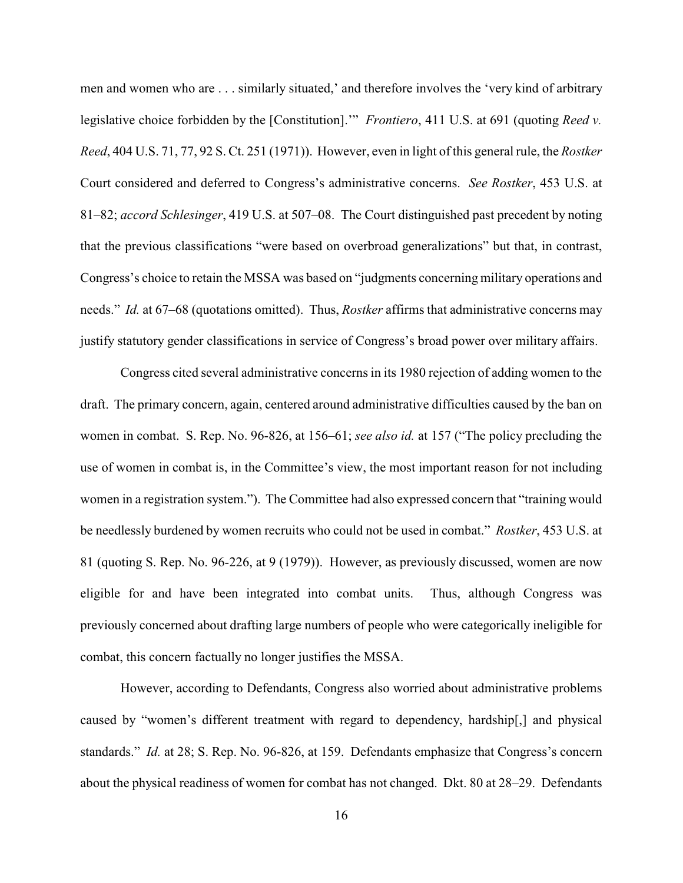men and women who are . . . similarly situated,' and therefore involves the 'very kind of arbitrary legislative choice forbidden by the [Constitution].'" *Frontiero*, 411 U.S. at 691 (quoting *Reed v. Reed*, 404 U.S. 71, 77, 92 S. Ct. 251 (1971)). However, even in light of this general rule, the *Rostker* Court considered and deferred to Congress's administrative concerns. *See Rostker*, 453 U.S. at 81–82; *accord Schlesinger*, 419 U.S. at 507–08. The Court distinguished past precedent by noting that the previous classifications "were based on overbroad generalizations" but that, in contrast, Congress's choice to retain the MSSA was based on "judgments concerning military operations and needs." *Id.* at 67–68 (quotations omitted). Thus, *Rostker* affirms that administrative concerns may justify statutory gender classifications in service of Congress's broad power over military affairs.

Congress cited several administrative concerns in its 1980 rejection of adding women to the draft. The primary concern, again, centered around administrative difficulties caused by the ban on women in combat. S. Rep. No. 96-826, at 156–61; *see also id.* at 157 ("The policy precluding the use of women in combat is, in the Committee's view, the most important reason for not including women in a registration system."). The Committee had also expressed concern that "training would be needlessly burdened by women recruits who could not be used in combat." *Rostker*, 453 U.S. at 81 (quoting S. Rep. No. 96-226, at 9 (1979)). However, as previously discussed, women are now eligible for and have been integrated into combat units. Thus, although Congress was previously concerned about drafting large numbers of people who were categorically ineligible for combat, this concern factually no longer justifies the MSSA.

However, according to Defendants, Congress also worried about administrative problems caused by "women's different treatment with regard to dependency, hardship[,] and physical standards." *Id.* at 28; S. Rep. No. 96-826, at 159. Defendants emphasize that Congress's concern about the physical readiness of women for combat has not changed. Dkt. 80 at 28–29. Defendants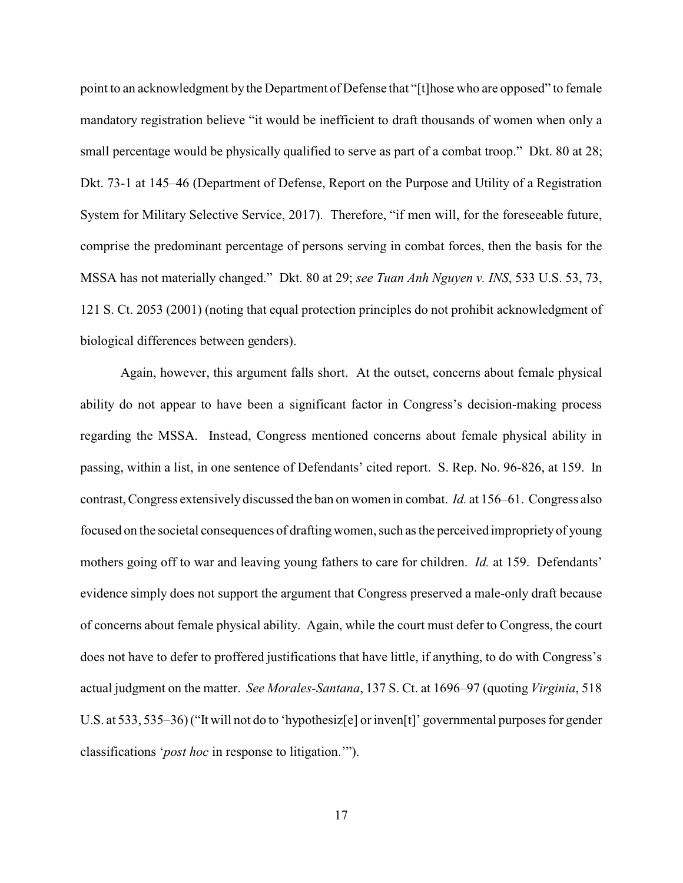point to an acknowledgment by the Department of Defense that "[t]hose who are opposed" to female mandatory registration believe "it would be inefficient to draft thousands of women when only a small percentage would be physically qualified to serve as part of a combat troop." Dkt. 80 at 28; Dkt. 73-1 at 145–46 (Department of Defense, Report on the Purpose and Utility of a Registration System for Military Selective Service, 2017). Therefore, "if men will, for the foreseeable future, comprise the predominant percentage of persons serving in combat forces, then the basis for the MSSA has not materially changed." Dkt. 80 at 29; *see Tuan Anh Nguyen v. INS*, 533 U.S. 53, 73, 121 S. Ct. 2053 (2001) (noting that equal protection principles do not prohibit acknowledgment of biological differences between genders).

Again, however, this argument falls short. At the outset, concerns about female physical ability do not appear to have been a significant factor in Congress's decision-making process regarding the MSSA. Instead, Congress mentioned concerns about female physical ability in passing, within a list, in one sentence of Defendants' cited report. S. Rep. No. 96-826, at 159. In contrast, Congress extensively discussed the ban on women in combat. *Id.* at 156–61. Congress also focused on the societal consequences of draftingwomen, such as the perceived impropriety of young mothers going off to war and leaving young fathers to care for children. *Id.* at 159. Defendants' evidence simply does not support the argument that Congress preserved a male-only draft because of concerns about female physical ability. Again, while the court must defer to Congress, the court does not have to defer to proffered justifications that have little, if anything, to do with Congress's actual judgment on the matter. *See Morales-Santana*, 137 S. Ct. at 1696–97 (quoting *Virginia*, 518 U.S. at 533, 535–36) ("It will not do to 'hypothesiz[e] or inven[t]' governmental purposes for gender classifications '*post hoc* in response to litigation.'").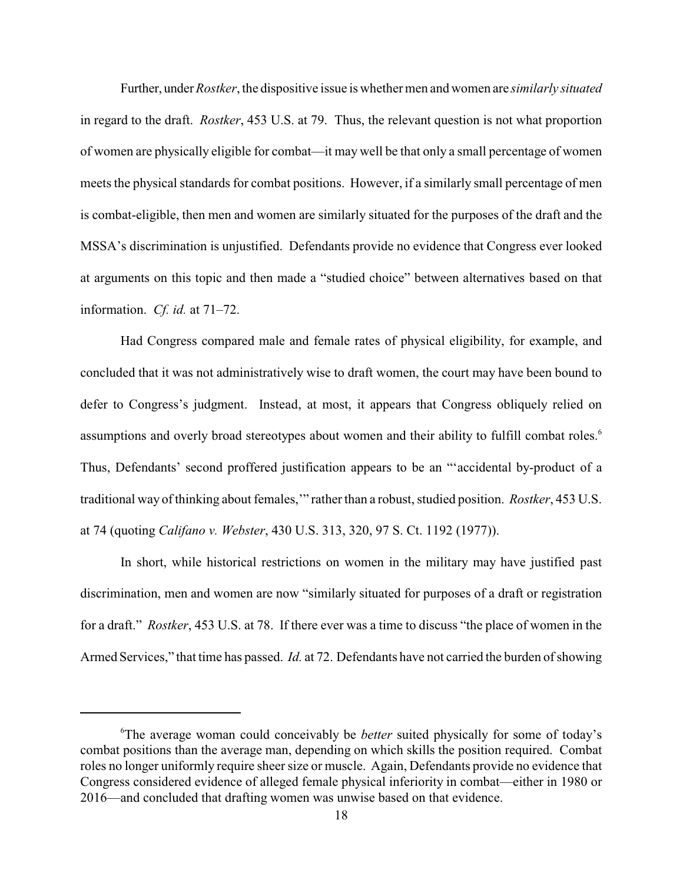Further, under *Rostker*, the dispositive issue is whether men and women are *similarly situated* in regard to the draft. *Rostker*, 453 U.S. at 79. Thus, the relevant question is not what proportion of women are physically eligible for combat—it may well be that only a small percentage of women meets the physical standards for combat positions. However, if a similarly small percentage of men is combat-eligible, then men and women are similarly situated for the purposes of the draft and the MSSA's discrimination is unjustified. Defendants provide no evidence that Congress ever looked at arguments on this topic and then made a "studied choice" between alternatives based on that information. *Cf. id.* at 71–72.

Had Congress compared male and female rates of physical eligibility, for example, and concluded that it was not administratively wise to draft women, the court may have been bound to defer to Congress's judgment. Instead, at most, it appears that Congress obliquely relied on assumptions and overly broad stereotypes about women and their ability to fulfill combat roles.<sup>6</sup> Thus, Defendants' second proffered justification appears to be an "'accidental by-product of a traditional way of thinking about females,'" rather than a robust, studied position. *Rostker*, 453 U.S. at 74 (quoting *Califano v. Webster*, 430 U.S. 313, 320, 97 S. Ct. 1192 (1977)).

In short, while historical restrictions on women in the military may have justified past discrimination, men and women are now "similarly situated for purposes of a draft or registration for a draft." *Rostker*, 453 U.S. at 78. If there ever was a time to discuss "the place of women in the Armed Services," that time has passed. *Id.* at 72. Defendants have not carried the burden of showing

<sup>6</sup>The average woman could conceivably be *better* suited physically for some of today's combat positions than the average man, depending on which skills the position required. Combat roles no longer uniformly require sheer size or muscle. Again, Defendants provide no evidence that Congress considered evidence of alleged female physical inferiority in combat—either in 1980 or 2016—and concluded that drafting women was unwise based on that evidence.